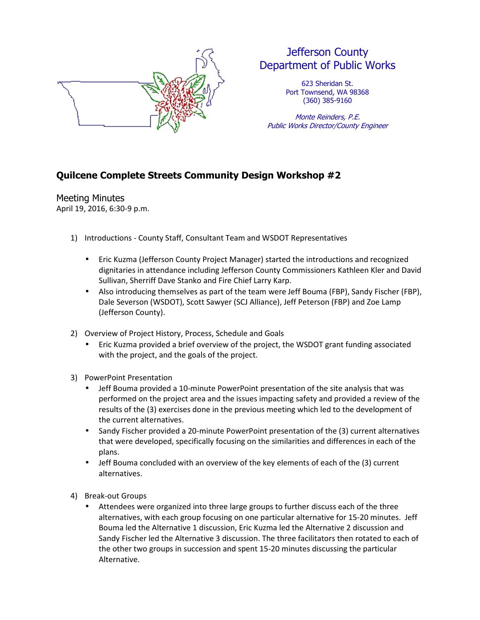

## Jefferson County Department of Public Works

623 Sheridan St. Port Townsend, WA 98368 (360) 385-9160

Monte Reinders, P.E. Public Works Director/County Engineer

## **Quilcene Complete Streets Community Design Workshop #2**

Meeting Minutes April 19, 2016, 6:30-9 p.m.

- 1) Introductions County Staff, Consultant Team and WSDOT Representatives
	- Eric Kuzma (Jefferson County Project Manager) started the introductions and recognized dignitaries in attendance including Jefferson County Commissioners Kathleen Kler and David Sullivan, Sherriff Dave Stanko and Fire Chief Larry Karp.
	- Also introducing themselves as part of the team were Jeff Bouma (FBP), Sandy Fischer (FBP), Dale Severson (WSDOT), Scott Sawyer (SCJ Alliance), Jeff Peterson (FBP) and Zoe Lamp (Jefferson County).
- 2) Overview of Project History, Process, Schedule and Goals
	- Eric Kuzma provided a brief overview of the project, the WSDOT grant funding associated with the project, and the goals of the project.
- 3) PowerPoint Presentation
	- Jeff Bouma provided a 10-minute PowerPoint presentation of the site analysis that was performed on the project area and the issues impacting safety and provided a review of the results of the (3) exercises done in the previous meeting which led to the development of the current alternatives.
	- Sandy Fischer provided a 20-minute PowerPoint presentation of the (3) current alternatives that were developed, specifically focusing on the similarities and differences in each of the plans.
	- Jeff Bouma concluded with an overview of the key elements of each of the (3) current alternatives.
- 4) Break-out Groups
	- Attendees were organized into three large groups to further discuss each of the three alternatives, with each group focusing on one particular alternative for 15-20 minutes. Jeff Bouma led the Alternative 1 discussion, Eric Kuzma led the Alternative 2 discussion and Sandy Fischer led the Alternative 3 discussion. The three facilitators then rotated to each of the other two groups in succession and spent 15-20 minutes discussing the particular Alternative.